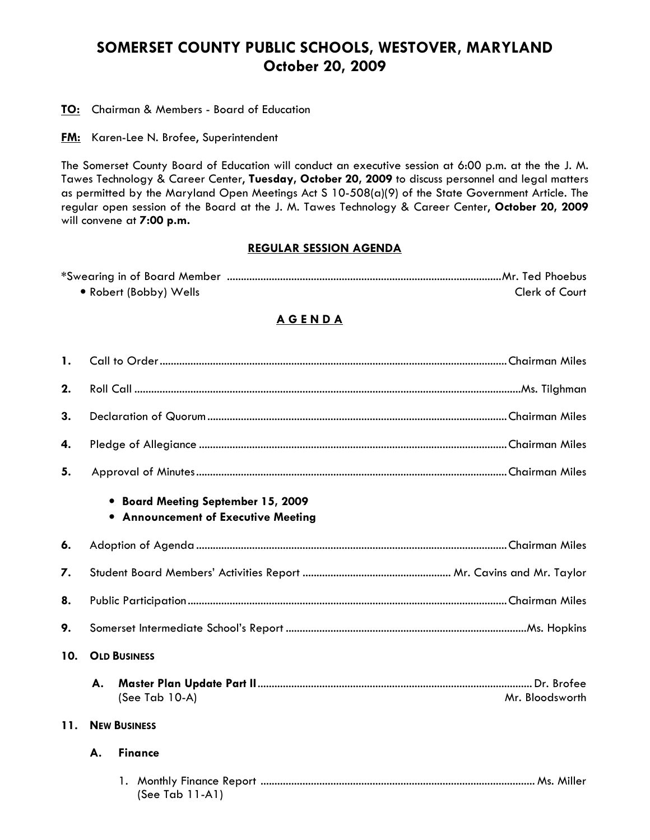## SOMERSET COUNTY PUBLIC SCHOOLS, WESTOVER, MARYLAND October 20, 2009

**TO:** Chairman & Members - Board of Education

**FM:** Karen-Lee N. Brofee, Superintendent

The Somerset County Board of Education will conduct an executive session at 6:00 p.m. at the the J. M. Tawes Technology & Career Center, Tuesday, October 20, 2009 to discuss personnel and legal matters as permitted by the Maryland Open Meetings Act S 10-508(a)(9) of the State Government Article. The regular open session of the Board at the J. M. Tawes Technology & Career Center, October 20, 2009 will convene at 7:00 p.m.

## REGULAR SESSION AGENDA

| • Robert (Bobby) Wells | Clerk of Court |
|------------------------|----------------|

## A G E N D A

| $\mathbf{1}$ . |                     |                                                                                  |  |
|----------------|---------------------|----------------------------------------------------------------------------------|--|
| 2.             |                     |                                                                                  |  |
| 3.             |                     |                                                                                  |  |
| 4.             |                     |                                                                                  |  |
| 5.             |                     |                                                                                  |  |
|                |                     | • Board Meeting September 15, 2009<br><b>.</b> Announcement of Executive Meeting |  |
| 6.             |                     |                                                                                  |  |
| 7.             |                     |                                                                                  |  |
| 8.             |                     |                                                                                  |  |
| 9.             |                     |                                                                                  |  |
| 10.            | <b>OLD BUSINESS</b> |                                                                                  |  |
|                | А.                  | (See Tab 10-A)<br>Mr. Bloodsworth                                                |  |
| 11.            | <b>NEW BUSINESS</b> |                                                                                  |  |
|                | А.                  | <b>Finance</b>                                                                   |  |
|                |                     | (See Tab $11-A1$ )                                                               |  |